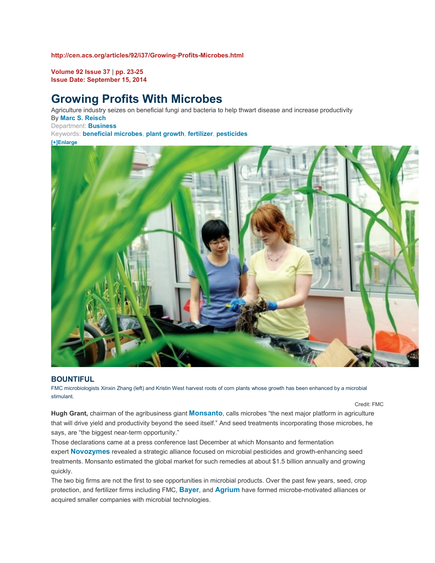**http://cen.acs.org/articles/92/i37/Growing-Profits-Microbes.html**

**Volume 92 Issue 37 | pp. 23-25 Issue Date: September 15, 2014**

# **Growing Profits With Microbes**

Agriculture industry seizes on beneficial fungi and bacteria to help thwart disease and increase productivity By **[Marc S. Reisch](http://cen.acs.org/static/about/staff_landing/biomsr.html)**

Department: **[Business](http://cen.acs.org/departments/business.html)**

Keywords: **[beneficial microbes](http://pubs.acs.org/iapps/wld/cen/results.html?line3=beneficial+microbes)**, **[plant growth](http://pubs.acs.org/iapps/wld/cen/results.html?line3=plant+growth)**, **[fertilizer](http://pubs.acs.org/iapps/wld/cen/results.html?line3=fertilizer)**, **[pesticides](http://pubs.acs.org/iapps/wld/cen/results.html?line3=pesticides)**

**[\[+\]Enlarge](javascript:doMediaModal(%7b)**



### **BOUNTIFUL**

FMC microbiologists Xinxin Zhang (left) and Kristin West harvest roots of corn plants whose growth has been enhanced by a microbial stimulant.

Credit: FMC

**Hugh Grant,** chairman of the agribusiness giant **[Monsanto](http://www.monsanto.com/)**, calls microbes "the next major platform in agriculture that will drive yield and productivity beyond the seed itself." And seed treatments incorporating those microbes, he says, are "the biggest near-term opportunity."

Those declarations came at a press conference last December at which Monsanto and fermentation expert **[Novozymes](http://www.novozymes.com/)** revealed a strategic alliance focused on microbial pesticides and growth-enhancing seed treatments. Monsanto estimated the global market for such remedies at about \$1.5 billion annually and growing quickly.

The two big firms are not the first to see opportunities in microbial products. Over the past few years, seed, crop protection, and fertilizer firms including FMC, **[Bayer](http://www.bayer.com/)**, and **[Agrium](http://www.agrium.com/)** have formed microbe-motivated alliances or acquired smaller companies with microbial technologies.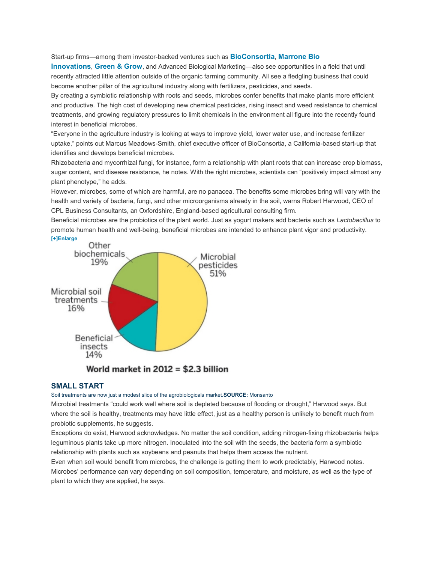Start-up firms—among them investor-backed ventures such as **[BioConsortia](http://www.bioconsortia.com/)**, **[Marrone Bio](http://www.marronebioinnovations.com/)** 

**[Innovations](http://www.marronebioinnovations.com/)**, **[Green & Grow](http://www.greenandgrow.com/)**, and Advanced Biological Marketing—also see opportunities in a field that until recently attracted little attention outside of the organic farming community. All see a fledgling business that could become another pillar of the agricultural industry along with fertilizers, pesticides, and seeds.

By creating a symbiotic relationship with roots and seeds, microbes confer benefits that make plants more efficient and productive. The high cost of developing new chemical pesticides, rising insect and weed resistance to chemical treatments, and growing regulatory pressures to limit chemicals in the environment all figure into the recently found interest in beneficial microbes.

"Everyone in the agriculture industry is looking at ways to improve yield, lower water use, and increase fertilizer uptake," points out Marcus Meadows-Smith, chief executive officer of BioConsortia, a California-based start-up that identifies and develops beneficial microbes.

Rhizobacteria and mycorrhizal fungi, for instance, form a relationship with plant roots that can increase crop biomass, sugar content, and disease resistance, he notes. With the right microbes, scientists can "positively impact almost any plant phenotype," he adds.

However, microbes, some of which are harmful, are no panacea. The benefits some microbes bring will vary with the health and variety of bacteria, fungi, and other microorganisms already in the soil, warns Robert Harwood, CEO of CPL Business Consultants, an Oxfordshire, England-based agricultural consulting firm.

Beneficial microbes are the probiotics of the plant world. Just as yogurt makers add bacteria such as *Lactobacillus* to promote human health and well-being, beneficial microbes are intended to enhance plant vigor and productivity.



## World market in  $2012 = $2.3$  billion

#### **SMALL START**

Soil treatments are now just a modest slice of the agrobiologicals market.**SOURCE:** Monsanto

Microbial treatments "could work well where soil is depleted because of flooding or drought," Harwood says. But where the soil is healthy, treatments may have little effect, just as a healthy person is unlikely to benefit much from probiotic supplements, he suggests.

Exceptions do exist, Harwood acknowledges. No matter the soil condition, adding nitrogen-fixing rhizobacteria helps leguminous plants take up more nitrogen. Inoculated into the soil with the seeds, the bacteria form a symbiotic relationship with plants such as soybeans and peanuts that helps them access the nutrient.

Even when soil would benefit from microbes, the challenge is getting them to work predictably, Harwood notes. Microbes' performance can vary depending on soil composition, temperature, and moisture, as well as the type of plant to which they are applied, he says.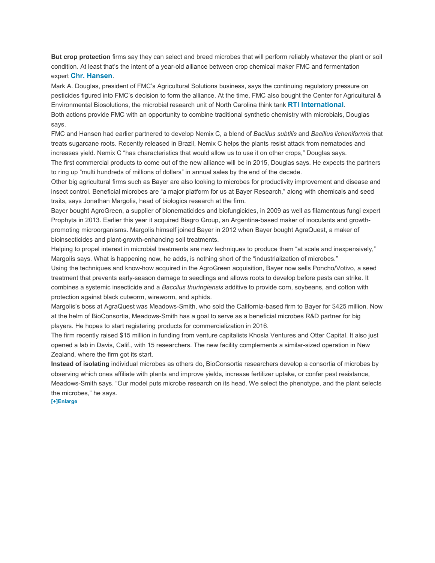**But crop protection** firms say they can select and breed microbes that will perform reliably whatever the plant or soil condition. At least that's the intent of a year-old alliance between crop chemical maker FMC and fermentation expert **[Chr. Hansen](http://www.chr-hansen.com/)**.

Mark A. Douglas, president of FMC's Agricultural Solutions business, says the continuing regulatory pressure on pesticides figured into FMC's decision to form the alliance. At the time, FMC also bought the Center for Agricultural & Environmental Biosolutions, the microbial research unit of North Carolina think tank **[RTI International](http://www.rti.org/)**. Both actions provide FMC with an opportunity to combine traditional synthetic chemistry with microbials, Douglas says.

FMC and Hansen had earlier partnered to develop Nemix C, a blend of *Bacillus subtilis* and *Bacillus licheniformis* that treats sugarcane roots. Recently released in Brazil, Nemix C helps the plants resist attack from nematodes and increases yield. Nemix C "has characteristics that would allow us to use it on other crops," Douglas says.

The first commercial products to come out of the new alliance will be in 2015, Douglas says. He expects the partners to ring up "multi hundreds of millions of dollars" in annual sales by the end of the decade.

Other big agricultural firms such as Bayer are also looking to microbes for productivity improvement and disease and insect control. Beneficial microbes are "a major platform for us at Bayer Research," along with chemicals and seed traits, says Jonathan Margolis, head of biologics research at the firm.

Bayer bought AgroGreen, a supplier of bionematicides and biofungicides, in 2009 as well as filamentous fungi expert Prophyta in 2013. Earlier this year it acquired Biagro Group, an Argentina-based maker of inoculants and growthpromoting microorganisms. Margolis himself joined Bayer in 2012 when Bayer bought AgraQuest, a maker of bioinsecticides and plant-growth-enhancing soil treatments.

Helping to propel interest in microbial treatments are new techniques to produce them "at scale and inexpensively," Margolis says. What is happening now, he adds, is nothing short of the "industrialization of microbes."

Using the techniques and know-how acquired in the AgroGreen acquisition, Bayer now sells Poncho/Votivo, a seed treatment that prevents early-season damage to seedlings and allows roots to develop before pests can strike. It combines a systemic insecticide and a *Baccilus thuringiensis* additive to provide corn, soybeans, and cotton with protection against black cutworm, wireworm, and aphids.

Margolis's boss at AgraQuest was Meadows-Smith, who sold the California-based firm to Bayer for \$425 million. Now at the helm of BioConsortia, Meadows-Smith has a goal to serve as a beneficial microbes R&D partner for big players. He hopes to start registering products for commercialization in 2016.

The firm recently raised \$15 million in funding from venture capitalists Khosla Ventures and Otter Capital. It also just opened a lab in Davis, Calif., with 15 researchers. The new facility complements a similar-sized operation in New Zealand, where the firm got its start.

**Instead of isolating** individual microbes as others do, BioConsortia researchers develop a consortia of microbes by observing which ones affiliate with plants and improve yields, increase fertilizer uptake, or confer pest resistance, Meadows-Smith says. "Our model puts microbe research on its head. We select the phenotype, and the plant selects the microbes," he says.

**[\[+\]Enlarge](javascript:doMediaModal(%7b)**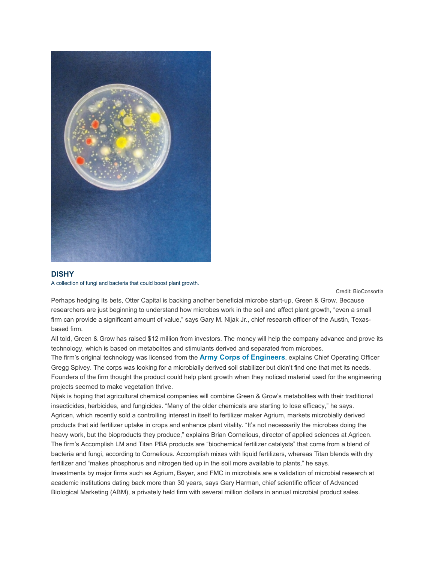

### **DISHY** A collection of fungi and bacteria that could boost plant growth.

Credit: BioConsortia

Perhaps hedging its bets, Otter Capital is backing another beneficial microbe start-up, Green & Grow. Because researchers are just beginning to understand how microbes work in the soil and affect plant growth, "even a small firm can provide a significant amount of value," says Gary M. Nijak Jr., chief research officer of the Austin, Texasbased firm.

All told, Green & Grow has raised \$12 million from investors. The money will help the company advance and prove its technology, which is based on metabolites and stimulants derived and separated from microbes.

The firm's original technology was licensed from the **[Army Corps of Engineers](http://www.usace.army.mil/)**, explains Chief Operating Officer Gregg Spivey. The corps was looking for a microbially derived soil stabilizer but didn't find one that met its needs. Founders of the firm thought the product could help plant growth when they noticed material used for the engineering projects seemed to make vegetation thrive.

Nijak is hoping that agricultural chemical companies will combine Green & Grow's metabolites with their traditional insecticides, herbicides, and fungicides. "Many of the older chemicals are starting to lose efficacy," he says. Agricen, which recently sold a controlling interest in itself to fertilizer maker Agrium, markets microbially derived products that aid fertilizer uptake in crops and enhance plant vitality. "It's not necessarily the microbes doing the heavy work, but the bioproducts they produce," explains Brian Cornelious, director of applied sciences at Agricen. The firm's Accomplish LM and Titan PBA products are "biochemical fertilizer catalysts" that come from a blend of bacteria and fungi, according to Cornelious. Accomplish mixes with liquid fertilizers, whereas Titan blends with dry fertilizer and "makes phosphorus and nitrogen tied up in the soil more available to plants," he says.

Investments by major firms such as Agrium, Bayer, and FMC in microbials are a validation of microbial research at academic institutions dating back more than 30 years, says Gary Harman, chief scientific officer of Advanced Biological Marketing (ABM), a privately held firm with several million dollars in annual microbial product sales.